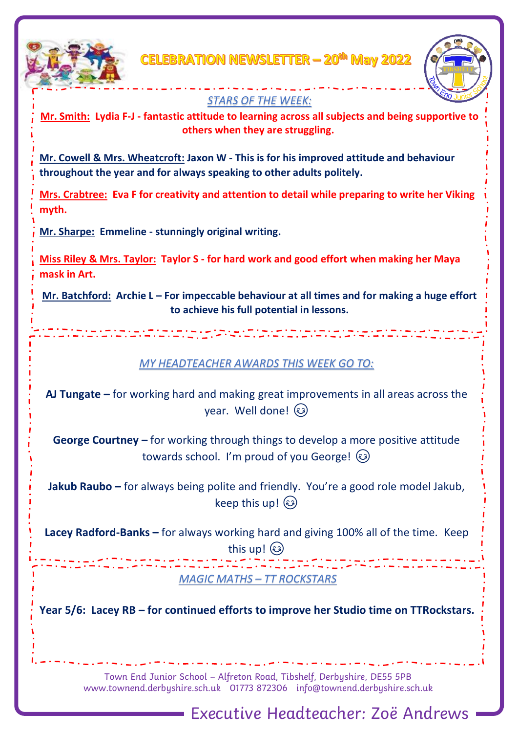

CELEBRATION NEWSLETTER — 20<sup>th</sup> May 2022



## *STARS OF THE WEEK:*

**Mr. Smith: Lydia F-J - fantastic attitude to learning across all subjects and being supportive to others when they are struggling.**

**Mr. Cowell & Mrs. Wheatcroft: Jaxon W - This is for his improved attitude and behaviour throughout the year and for always speaking to other adults politely.**

**Mrs. Crabtree: Eva F for creativity and attention to detail while preparing to write her Viking myth.**

**Mr. Sharpe: Emmeline - stunningly original writing.**

**Miss Riley & Mrs. Taylor: Taylor S - for hard work and good effort when making her Maya mask in Art.**

**Mr. Batchford: Archie L – For impeccable behaviour at all times and for making a huge effort to achieve his full potential in lessons.**

### *MY HEADTEACHER AWARDS THIS WEEK GO TO:*

**AJ Tungate –** for working hard and making great improvements in all areas across the year. Well done!

**George Courtney –** for working through things to develop a more positive attitude towards school. I'm proud of you George!  $\circled{\!\!\!s\!\!\!s\!\!\!b}$ 

**Jakub Raubo –** for always being polite and friendly. You're a good role model Jakub, keep this up!

**Lacey Radford-Banks –** for always working hard and giving 100% all of the time. Keep

this up!

*MAGIC MATHS – TT ROCKSTARS*

**Year 5/6: Lacey RB – for continued efforts to improve her Studio time on TTRockstars.**

Town End Junior School – Alfreton Road, Tibshelf, Derbyshire, DE55 5PB [www.townend.derbyshire.sch.uk](http://www.townend.derbyshire.sch.uk/) 01773 872306 info@townend.derbyshire.sch.uk

Executive Headteacher: Zoë Andrews